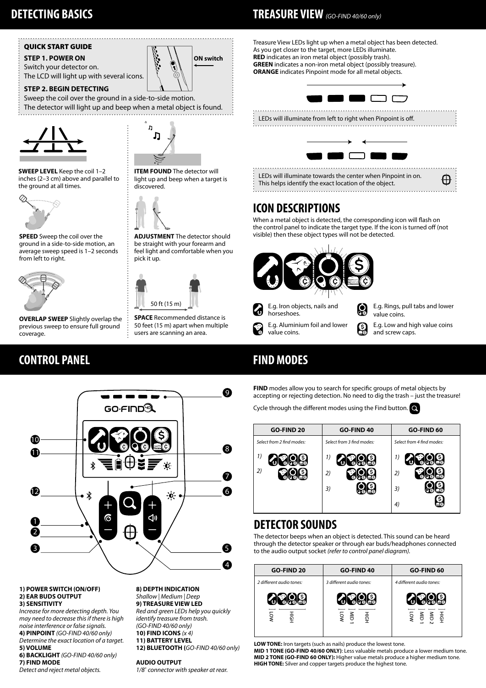## QUICK START GUIDE

## **STEP 1. POWER ON**

Switch your detector on. The LCD will light up with several icons.

### **STEP 2. BEGIN DETECTING**

Sweep the coil over the ground in a side-to-side motion. The detector will light up and beep when a metal object is found.





**ITEM FOUND** The detector will light up and beep when a target is

**ON switch**

**ADJUSTMENT** The detector should be straight with your forearm and feel light and comfortable when you

**SPACE** Recommended distance is 50 feet (15 m) apart when multiple users are scanning an area.

50 ft (15 m)

pick it up.

discovered.

**SWEEP LEVEL** Keep the coil 1–2 inches (2–3 cm) above and parallel to the ground at all times.



**SPEED** Sweep the coil over the ground in a side-to-side motion, an average sweep speed is 1–2 seconds from left to right.



**OVERLAP SWEEP** Slightly overlap the previous sweep to ensure full ground coverage.

# **CONTROL PANEL**



#### **1) POWER SWITCH (ON/OFF) 2) EAR BUDS OUTPUT 3) SENSITIVITY**

*Increase for more detecting depth. You may need to decrease this if there is high noise interference or false signals.* **4) PINPOINT** *(GO‑FIND 40/60 only)*

*Determine the exact location of a target.* **5) VOLUME**

**6) BACKLIGHT** *(GO‑FIND 40/60 only)* **7) FIND MODE**

*Detect and reject metal objects.*

#### **8) DEPTH INDICATION** *Shallow | Medium | Deep*

**9) TREASURE VIEW LED**  *Red and green LEDs help you quickly identify treasure from trash. (GO‑FIND 40/60 only)* **10) FIND ICONS** *(x 4)* **11) BATTERY LEVEL**

**12) BLUETOOTH (***GO‑FIND 40/60 only)*

#### **AUDIO OUTPUT**

*1/8*" *connector with speaker at rear.*

# **DETECTING BASICS TREASURE VIEW** *(GO‑FIND 40/60 only)*

Treasure View LEDs light up when a metal object has been detected. As you get closer to the target, more LEDs illuminate. **RED** indicates an iron metal object (possibly trash). **GREEN** indicates a non-iron metal object (possibly treasure). **ORANGE** indicates Pinpoint mode for all metal objects.



LEDs will illuminate from left to right when Pinpoint is off.



# **ICON DESCRIPTIONS**

When a metal object is detected, the corresponding icon will flash on the control panel to indicate the target type. If the icon is turned off (not visible) then these object types will not be detected.



**FIND MODES**

**FIND** modes allow you to search for specific groups of metal objects by accepting or rejecting detection. No need to dig the trash – just the treasure!

Cycle through the different modes using the Find button.  $\bullet$ 

| <b>GO-FIND 20</b>         | GO-FIND 40                | <b>GO-FIND 60</b>         |
|---------------------------|---------------------------|---------------------------|
| Select from 2 find modes: | Select from 3 find modes: | Select from 4 find modes: |
| 1)                        | 1)                        | 1)                        |
| 2)                        | 2)                        | 2)                        |
|                           | 3)                        | 3)                        |
|                           |                           | 4)                        |

## **DETECTOR SOUNDS**

The detector beeps when an object is detected. This sound can be heard through the detector speaker or through ear buds/headphones connected to the audio output socket *(refer to control panel diagram).*

| <b>GO-FIND 20</b>        | <b>GO-FIND 40</b>        | GO-FIND 60               |
|--------------------------|--------------------------|--------------------------|
| 2 different audio tones: | 3 different audio tones: | 4 different audio tones: |
| $\overline{\circ}$       | 름<br>호                   | 름<br>름<br>흙              |

**LOW TONE:** Iron targets (such as nails) produce the lowest tone.

**MID 1 TONE (GO‑FIND 40/60 ONLY)**: Less valuable metals produce a lower medium tone. **MID 2 TONE (GO‑FIND 60 ONLY):** Higher value metals produce a higher medium tone. **HIGH TONE:** Silver and copper targets produce the highest tone.